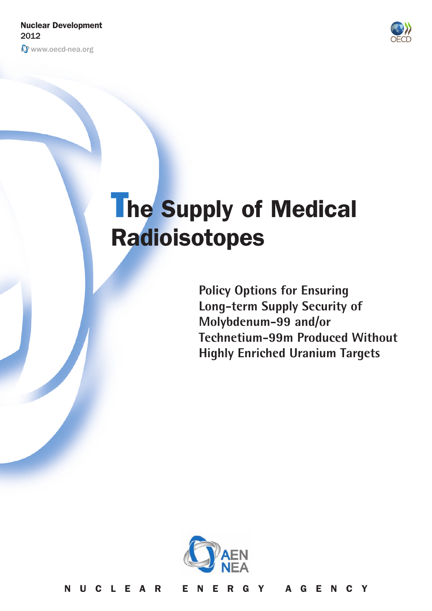

# **The Supply of Medical** Radioisotopes

**Policy Options for Ensuring Long-term Supply Security of Molybdenum-99 and/or Technetium-99m Produced Without Highly Enriched Uranium Targets**



NUCLEAR ENERGY AGENCY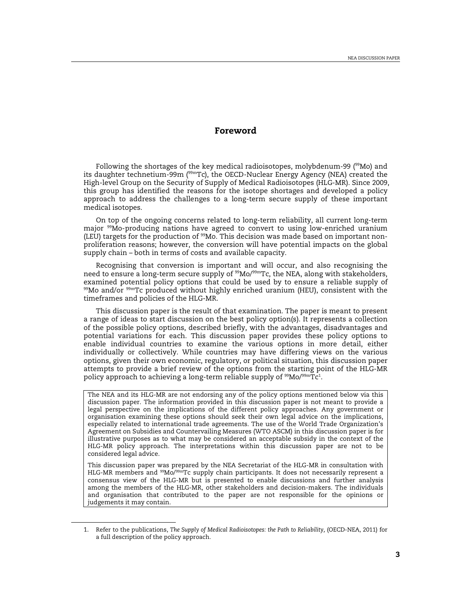#### Foreword

Following the shortages of the key medical radioisotopes, molybdenum-99  $(99M)$  and its daughter technetium-99m (99mTc), the OECD-Nuclear Energy Agency (NEA) created the High-level Group on the Security of Supply of Medical Radioisotopes (HLG-MR). Since 2009, this group has identified the reasons for the isotope shortages and developed a policy approach to address the challenges to a long-term secure supply of these important medical isotopes.

On top of the ongoing concerns related to long-term reliability, all current long-term major <sup>99</sup>Mo-producing nations have agreed to convert to using low-enriched uranium (LEU) targets for the production of  $99$ Mo. This decision was made based on important nonproliferation reasons; however, the conversion will have potential impacts on the global supply chain – both in terms of costs and available capacity.

Recognising that conversion is important and will occur, and also recognising the need to ensure a long-term secure supply of <sup>99</sup>Mo/<sup>99m</sup>Tc, the NEA, along with stakeholders, examined potential policy options that could be used by to ensure a reliable supply of  $99$ Mo and/or  $99<sup>cm</sup>$ Tc produced without highly enriched uranium (HEU), consistent with the timeframes and policies of the HLG-MR.

This discussion paper is the result of that examination. The paper is meant to present a range of ideas to start discussion on the best policy option(s). It represents a collection of the possible policy options, described briefly, with the advantages, disadvantages and potential variations for each. This discussion paper provides these policy options to enable individual countries to examine the various options in more detail, either individually or collectively. While countries may have differing views on the various options, given their own economic, regulatory, or political situation, this discussion paper attempts to provide a brief review of the options from the starting point of the HLG-MR policy approach to achieving a long-term reliable supply of <sup>99</sup>Mo/<sup>99m</sup>Tc<sup>1</sup>.

The NEA and its HLG-MR are not endorsing any of the policy options mentioned below via this discussion paper. The information provided in this discussion paper is not meant to provide a legal perspective on the implications of the different policy approaches. Any government or organisation examining these options should seek their own legal advice on the implications, especially related to international trade agreements. The use of the World Trade Organization's Agreement on Subsidies and Countervailing Measures (WTO ASCM) in this discussion paper is for illustrative purposes as to what may be considered an acceptable subsidy in the context of the HLG-MR policy approach. The interpretations within this discussion paper are not to be considered legal advice.

This discussion paper was prepared by the NEA Secretariat of the HLG-MR in consultation with HLG-MR members and <sup>99</sup>Mo/<sup>99m</sup>Tc supply chain participants. It does not necessarily represent a consensus view of the HLG-MR but is presented to enable discussions and further analysis among the members of the HLG-MR, other stakeholders and decision-makers. The individuals and organisation that contributed to the paper are not responsible for the opinions or judgements it may contain.

<sup>1.</sup> Refer to the publications, *The Supply of Medical Radioisotopes: the Path to Reliability,* (OECD-NEA, 2011) for a full description of the policy approach.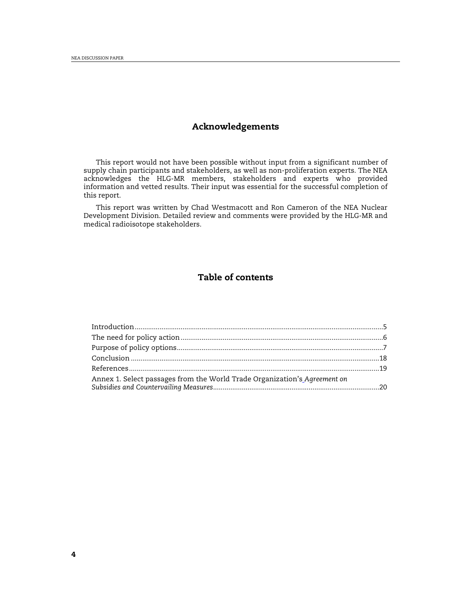NEA DISCUSSION PAPER

# Acknowledgements

This report would not have been possible without input from a significant number of supply chain participants and stakeholders, as well as non-proliferation experts. The NEA acknowledges the HLG-MR members, stakeholders and experts who provided information and vetted results. Their input was essential for the successful completion of this report.

This report was written by Chad Westmacott and Ron Cameron of the NEA Nuclear Development Division. Detailed review and comments were provided by the HLG-MR and medical radioisotope stakeholders.

# Table of contents

| Annex 1. Select passages from the World Trade Organization's Agreement on |  |
|---------------------------------------------------------------------------|--|
|                                                                           |  |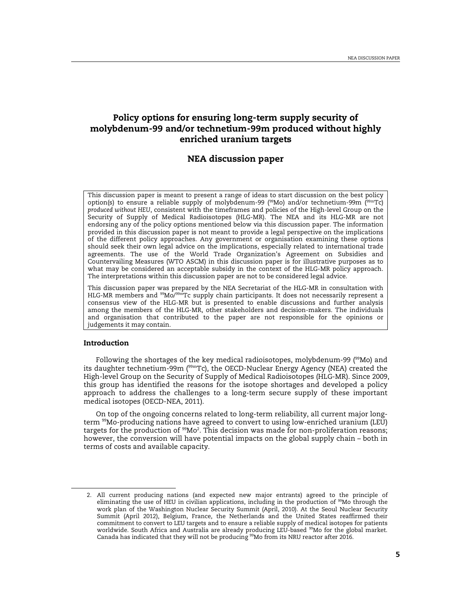# Policy options for ensuring long-term supply security of molybdenum-99 and/or technetium-99m produced without highly enriched uranium targets

# NEA discussion paper

This discussion paper is meant to present a range of ideas to start discussion on the best policy option(s) to ensure a reliable supply of molybdenum-99 ( $\frac{99 \text{Mo}}{200}$ ) and/or technetium-99m ( $\frac{99 \text{m}}{20}$ ) *produced without HEU*, consistent with the timeframes and policies of the High-level Group on the Security of Supply of Medical Radioisotopes (HLG-MR). The NEA and its HLG-MR are not endorsing any of the policy options mentioned below via this discussion paper. The information provided in this discussion paper is not meant to provide a legal perspective on the implications of the different policy approaches. Any government or organisation examining these options should seek their own legal advice on the implications, especially related to international trade agreements. The use of the World Trade Organization's Agreement on Subsidies and Countervailing Measures (WTO ASCM) in this discussion paper is for illustrative purposes as to what may be considered an acceptable subsidy in the context of the HLG-MR policy approach. The interpretations within this discussion paper are not to be considered legal advice.

This discussion paper was prepared by the NEA Secretariat of the HLG-MR in consultation with HLG-MR members and <sup>99</sup>Mo/<sup>99m</sup>Tc supply chain participants. It does not necessarily represent a consensus view of the HLG-MR but is presented to enable discussions and further analysis among the members of the HLG-MR, other stakeholders and decision-makers. The individuals and organisation that contributed to the paper are not responsible for the opinions or judgements it may contain.

#### Introduction

 $\overline{a}$ 

Following the shortages of the key medical radioisotopes, molybdenum-99  $(99M)$  and its daughter technetium-99m (99mTc), the OECD-Nuclear Energy Agency (NEA) created the High-level Group on the Security of Supply of Medical Radioisotopes (HLG-MR). Since 2009, this group has identified the reasons for the isotope shortages and developed a policy approach to address the challenges to a long-term secure supply of these important medical isotopes (OECD-NEA, 2011).

On top of the ongoing concerns related to long-term reliability, all current major longterm <sup>99</sup>Mo-producing nations have agreed to convert to using low-enriched uranium (LEU) targets for the production of  $^{99}$ Mo<sup>2</sup>. This decision was made for non-proliferation reasons; however, the conversion will have potential impacts on the global supply chain – both in terms of costs and available capacity.

<sup>2.</sup> All current producing nations (and expected new major entrants) agreed to the principle of eliminating the use of HEU in civilian applications, including in the production of <sup>99</sup>Mo through the work plan of the Washington Nuclear Security Summit (April, 2010). At the Seoul Nuclear Security Summit (April 2012), Belgium, France, the Netherlands and the United States reaffirmed their commitment to convert to LEU targets and to ensure a reliable supply of medical isotopes for patients worldwide. South Africa and Australia are already producing LEU-based <sup>99</sup>Mo for the global market. Canada has indicated that they will not be producing <sup>99</sup>Mo from its NRU reactor after 2016.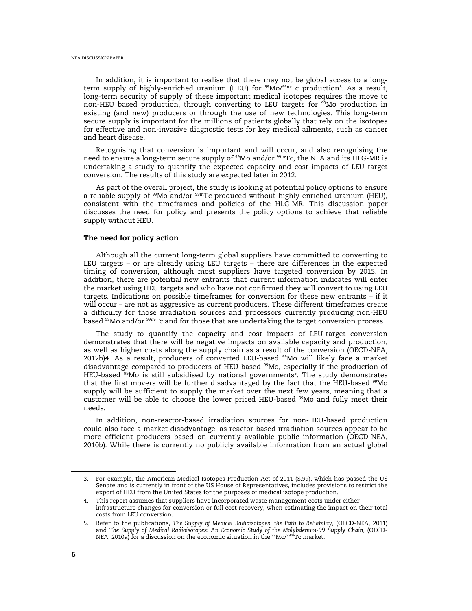In addition, it is important to realise that there may not be global access to a longterm supply of highly-enriched uranium (HEU) for <sup>99</sup>Mo/<sup>99m</sup>Tc production<sup>3</sup>. As a result, long-term security of supply of these important medical isotopes requires the move to non-HEU based production, through converting to LEU targets for <sup>99</sup>Mo production in existing (and new) producers or through the use of new technologies. This long-term secure supply is important for the millions of patients globally that rely on the isotopes for effective and non-invasive diagnostic tests for key medical ailments, such as cancer and heart disease.

Recognising that conversion is important and will occur, and also recognising the need to ensure a long-term secure supply of <sup>99</sup>Mo and/or <sup>99m</sup>Tc, the NEA and its HLG-MR is undertaking a study to quantify the expected capacity and cost impacts of LEU target conversion. The results of this study are expected later in 2012.

As part of the overall project, the study is looking at potential policy options to ensure a reliable supply of <sup>99</sup>Mo and/or <sup>99m</sup>Tc produced without highly enriched uranium (HEU), consistent with the timeframes and policies of the HLG-MR. This discussion paper discusses the need for policy and presents the policy options to achieve that reliable supply without HEU.

#### The need for policy action

Although all the current long-term global suppliers have committed to converting to LEU targets – or are already using LEU targets – there are differences in the expected timing of conversion, although most suppliers have targeted conversion by 2015. In addition, there are potential new entrants that current information indicates will enter the market using HEU targets and who have not confirmed they will convert to using LEU targets. Indications on possible timeframes for conversion for these new entrants – if it will occur – are not as aggressive as current producers. These different timeframes create a difficulty for those irradiation sources and processors currently producing non-HEU based <sup>99</sup>Mo and/or <sup>99m</sup>Tc and for those that are undertaking the target conversion process.

The study to quantify the capacity and cost impacts of LEU-target conversion demonstrates that there will be negative impacts on available capacity and production, as well as higher costs along the supply chain as a result of the conversion (OECD-NEA, 2012b)4. As a result, producers of converted LEU-based  $^{99}$ Mo will likely face a market disadvantage compared to producers of HEU-based <sup>99</sup>Mo, especially if the production of HEU-based  $^{99}\rm{Mo}$  is still subsidised by national governments<sup>5</sup>. The study demonstrates that the first movers will be further disadvantaged by the fact that the HEU-based  $99M$ o supply will be sufficient to supply the market over the next few years, meaning that a customer will be able to choose the lower priced HEU-based <sup>99</sup>Mo and fully meet their needs.

In addition, non-reactor-based irradiation sources for non-HEU-based production could also face a market disadvantage, as reactor-based irradiation sources appear to be more efficient producers based on currently available public information (OECD-NEA, 2010b). While there is currently no publicly available information from an actual global

<sup>3.</sup> For example, the American Medical Isotopes Production Act of 2011 (S.99), which has passed the US Senate and is currently in front of the US House of Representatives, includes provisions to restrict the export of HEU from the United States for the purposes of medical isotope production.

<sup>4.</sup> This report assumes that suppliers have incorporated waste management costs under either infrastructure changes for conversion or full cost recovery, when estimating the impact on their total costs from LEU conversion.

<sup>5.</sup> Refer to the publications, *The Supply of Medical Radioisotopes: the Path to Reliability,* (OECD-NEA, 2011) and *The Supply of Medical Radioisotopes: An Economic Study of the Molybdenum-99 Supply Chain,* (OECD-NEA, 2010a) for a discussion on the economic situation in the <sup>99</sup>Mo/<sup>99m</sup>Tc market.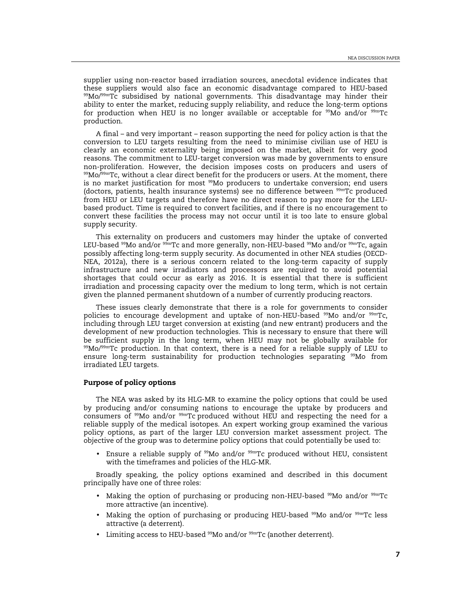supplier using non-reactor based irradiation sources, anecdotal evidence indicates that these suppliers would also face an economic disadvantage compared to HEU-based  $99$ Mo/ $99m$ Tc subsidised by national governments. This disadvantage may hinder their ability to enter the market, reducing supply reliability, and reduce the long-term options for production when HEU is no longer available or acceptable for  $\frac{99}{100}$  and/or  $\frac{99}{100}$ production.

A final – and very important – reason supporting the need for policy action is that the conversion to LEU targets resulting from the need to minimise civilian use of HEU is clearly an economic externality being imposed on the market, albeit for very good reasons. The commitment to LEU-target conversion was made by governments to ensure non-proliferation. However, the decision imposes costs on producers and users of  $99$ Mo/ $99m$ Tc, without a clear direct benefit for the producers or users. At the moment, there is no market justification for most <sup>99</sup>Mo producers to undertake conversion; end users (doctors, patients, health insurance systems) see no difference between 99mTc produced from HEU or LEU targets and therefore have no direct reason to pay more for the LEUbased product. Time is required to convert facilities, and if there is no encouragement to convert these facilities the process may not occur until it is too late to ensure global supply security.

This externality on producers and customers may hinder the uptake of converted LEU-based <sup>99</sup>Mo and/or <sup>99m</sup>Tc and more generally, non-HEU-based <sup>99</sup>Mo and/or <sup>99m</sup>Tc, again possibly affecting long-term supply security. As documented in other NEA studies (OECD-NEA, 2012a), there is a serious concern related to the long-term capacity of supply infrastructure and new irradiators and processors are required to avoid potential shortages that could occur as early as 2016. It is essential that there is sufficient irradiation and processing capacity over the medium to long term, which is not certain given the planned permanent shutdown of a number of currently producing reactors.

These issues clearly demonstrate that there is a role for governments to consider policies to encourage development and uptake of non-HEU-based  $^{99}$ Mo and/or  $^{99m}$ Tc, including through LEU target conversion at existing (and new entrant) producers and the development of new production technologies. This is necessary to ensure that there will be sufficient supply in the long term, when HEU may not be globally available for  $99Mo/99mTc$  production. In that context, there is a need for a reliable supply of LEU to ensure long-term sustainability for production technologies separating <sup>99</sup>Mo from irradiated LEU targets.

#### Purpose of policy options

The NEA was asked by its HLG-MR to examine the policy options that could be used by producing and/or consuming nations to encourage the uptake by producers and consumers of <sup>99</sup>Mo and/or 99mTc produced without HEU and respecting the need for a reliable supply of the medical isotopes. An expert working group examined the various policy options, as part of the larger LEU conversion market assessment project. The objective of the group was to determine policy options that could potentially be used to:

• Ensure a reliable supply of  $99M$ o and/or  $99m$ Tc produced without HEU, consistent with the timeframes and policies of the HLG-MR.

Broadly speaking, the policy options examined and described in this document principally have one of three roles:

- Making the option of purchasing or producing non-HEU-based  $99$ Mo and/or  $99$ mTc more attractive (an incentive).
- Making the option of purchasing or producing HEU-based  $99$ Mo and/or  $99<sup>cm</sup>$ Tc less attractive (a deterrent).
- Limiting access to HEU-based  $99$ Mo and/or  $99$ mTc (another deterrent).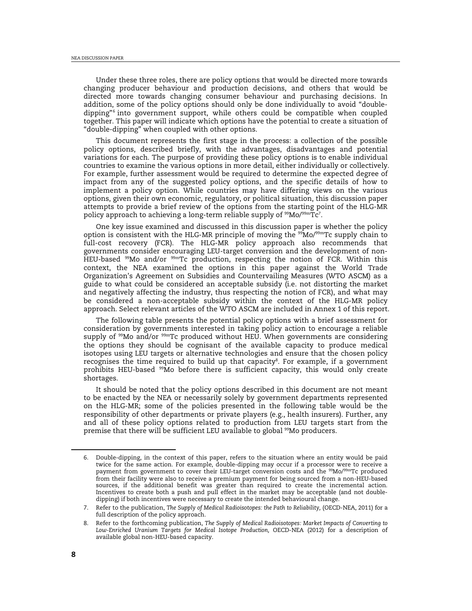Under these three roles, there are policy options that would be directed more towards changing producer behaviour and production decisions, and others that would be directed more towards changing consumer behaviour and purchasing decisions. In addition, some of the policy options should only be done individually to avoid "doubledipping"<sup>6</sup> into government support, while others could be compatible when coupled together. This paper will indicate which options have the potential to create a situation of "double-dipping" when coupled with other options.

This document represents the first stage in the process: a collection of the possible policy options, described briefly, with the advantages, disadvantages and potential variations for each. The purpose of providing these policy options is to enable individual countries to examine the various options in more detail, either individually or collectively. For example, further assessment would be required to determine the expected degree of impact from any of the suggested policy options, and the specific details of how to implement a policy option. While countries may have differing views on the various options, given their own economic, regulatory, or political situation, this discussion paper attempts to provide a brief review of the options from the starting point of the HLG-MR policy approach to achieving a long-term reliable supply of  $^{99}\text{Mo}/^{99\text{m}}$ Tc $^7$ .

One key issue examined and discussed in this discussion paper is whether the policy option is consistent with the HLG-MR principle of moving the  $99M<sub>9</sub>/99mTc$  supply chain to full-cost recovery (FCR). The HLG-MR policy approach also recommends that governments consider encouraging LEU-target conversion and the development of non-HEU-based <sup>99</sup>Mo and/or 99mTc production, respecting the notion of FCR. Within this context, the NEA examined the options in this paper against the World Trade Organization's Agreement on Subsidies and Countervailing Measures (WTO ASCM) as a guide to what could be considered an acceptable subsidy (i.e. not distorting the market and negatively affecting the industry, thus respecting the notion of FCR), and what may be considered a non-acceptable subsidy within the context of the HLG-MR policy approach. Select relevant articles of the WTO ASCM are included in Annex 1 of this report.

The following table presents the potential policy options with a brief assessment for consideration by governments interested in taking policy action to encourage a reliable supply of <sup>99</sup>Mo and/or <sup>99m</sup>Tc produced without HEU. When governments are considering the options they should be cognisant of the available capacity to produce medical isotopes using LEU targets or alternative technologies and ensure that the chosen policy recognises the time required to build up that capacity<sup>s</sup>. For example, if a government prohibits HEU-based <sup>99</sup>Mo before there is sufficient capacity, this would only create shortages.

It should be noted that the policy options described in this document are not meant to be enacted by the NEA or necessarily solely by government departments represented on the HLG-MR; some of the policies presented in the following table would be the responsibility of other departments or private players (e.g., health insurers). Further, any and all of these policy options related to production from LEU targets start from the premise that there will be sufficient LEU available to global <sup>99</sup>Mo producers.

<sup>6.</sup> Double-dipping, in the context of this paper, refers to the situation where an entity would be paid twice for the same action. For example, double-dipping may occur if a processor were to receive a payment from government to cover their LEU-target conversion costs and the <sup>99</sup>Mo/<sup>99m</sup>Tc produced from their facility were also to receive a premium payment for being sourced from a non-HEU-based sources, if the additional benefit was greater than required to create the incremental action. Incentives to create both a push and pull effect in the market may be acceptable (and not doubledipping) if both incentives were necessary to create the intended behavioural change.

<sup>7.</sup> Refer to the publication, *The Supply of Medical Radioisotopes: the Path to Reliability, (OECD-NEA, 2011) for a* full description of the policy approach.

<sup>8.</sup> Refer to the forthcoming publication, *The Supply of Medical Radioisotopes: Market Impacts of Converting to Low-Enriched Uranium Targets for Medical Isotope Production,* OECD-NEA (2012) for a description of available global non-HEU-based capacity.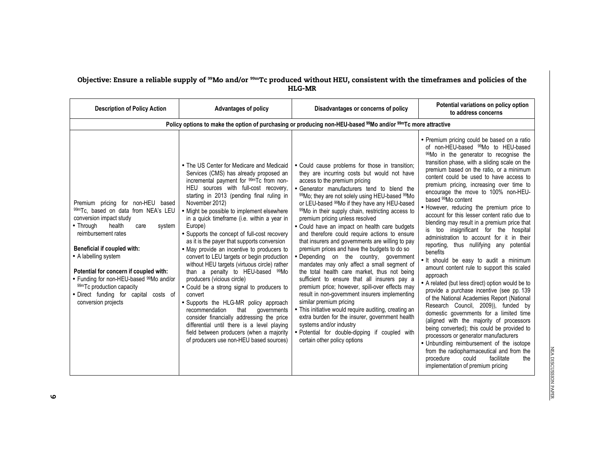# Objective: Ensure a reliable supply of <sup>99</sup>Mo and/or <sup>99m</sup>Tc produced without HEU, consistent with the timeframes and policies of the<br>HLG-MR

| <b>Description of Policy Action</b>                                                                                                                                                                                                                                                                                                                                                                                     | Advantages of policy                                                                                                                                                                                                                                                                                                                                                                                                                                                                                                                                                                                                                                                                                                                                                                                                                                                                                                                                                                     | Disadvantages or concerns of policy                                                                                                                                                                                                                                                                                                                                                                                                                                                                                                                                                                                                                                                                                                                                                                                                                                                                                                                                                                                                                                                                                             | Potential variations on policy option<br>to address concerns                                                                                                                                                                                                                                                                                                                                                                                                                                                                                                                                                                                                                                                                                                                                                                                                                                                                                                                                                                                                                                                                                                                                                                                                                                                                              |
|-------------------------------------------------------------------------------------------------------------------------------------------------------------------------------------------------------------------------------------------------------------------------------------------------------------------------------------------------------------------------------------------------------------------------|------------------------------------------------------------------------------------------------------------------------------------------------------------------------------------------------------------------------------------------------------------------------------------------------------------------------------------------------------------------------------------------------------------------------------------------------------------------------------------------------------------------------------------------------------------------------------------------------------------------------------------------------------------------------------------------------------------------------------------------------------------------------------------------------------------------------------------------------------------------------------------------------------------------------------------------------------------------------------------------|---------------------------------------------------------------------------------------------------------------------------------------------------------------------------------------------------------------------------------------------------------------------------------------------------------------------------------------------------------------------------------------------------------------------------------------------------------------------------------------------------------------------------------------------------------------------------------------------------------------------------------------------------------------------------------------------------------------------------------------------------------------------------------------------------------------------------------------------------------------------------------------------------------------------------------------------------------------------------------------------------------------------------------------------------------------------------------------------------------------------------------|-------------------------------------------------------------------------------------------------------------------------------------------------------------------------------------------------------------------------------------------------------------------------------------------------------------------------------------------------------------------------------------------------------------------------------------------------------------------------------------------------------------------------------------------------------------------------------------------------------------------------------------------------------------------------------------------------------------------------------------------------------------------------------------------------------------------------------------------------------------------------------------------------------------------------------------------------------------------------------------------------------------------------------------------------------------------------------------------------------------------------------------------------------------------------------------------------------------------------------------------------------------------------------------------------------------------------------------------|
|                                                                                                                                                                                                                                                                                                                                                                                                                         |                                                                                                                                                                                                                                                                                                                                                                                                                                                                                                                                                                                                                                                                                                                                                                                                                                                                                                                                                                                          | Policy options to make the option of purchasing or producing non-HEU-based <sup>99</sup> Mo and/or <sup>99m</sup> Tc more attractive                                                                                                                                                                                                                                                                                                                                                                                                                                                                                                                                                                                                                                                                                                                                                                                                                                                                                                                                                                                            |                                                                                                                                                                                                                                                                                                                                                                                                                                                                                                                                                                                                                                                                                                                                                                                                                                                                                                                                                                                                                                                                                                                                                                                                                                                                                                                                           |
| Premium pricing for non-HEU based<br>99mTc, based on data from NEA's LEU<br>conversion impact study<br>$\bullet$ Through<br>health<br>care<br>system<br>reimbursement rates<br>Beneficial if coupled with:<br>• A labelling system<br>Potential for concern if coupled with:<br>• Funding for non-HEU-based 99Mo and/or<br>99mTc production capacity<br>• Direct funding for capital<br>costs of<br>conversion projects | • The US Center for Medicare and Medicaid<br>Services (CMS) has already proposed an<br>incremental payment for 99mTc from non-<br>HEU sources with full-cost recovery,<br>starting in 2013 (pending final ruling in<br>November 2012)<br>• Might be possible to implement elsewhere<br>in a quick timeframe (i.e. within a year in<br>Europe)<br>• Supports the concept of full-cost recovery<br>as it is the payer that supports conversion<br>• May provide an incentive to producers to<br>convert to LEU targets or begin production<br>without HEU targets (virtuous circle) rather<br>than a penalty to HEU-based 99Mo<br>producers (vicious circle)<br>• Could be a strong signal to producers to<br>convert<br>• Supports the HLG-MR policy approach<br>recommendation<br>that<br>governments<br>consider financially addressing the price<br>differential until there is a level playing<br>field between producers (when a majority<br>of producers use non-HEU based sources) | • Could cause problems for those in transition;<br>they are incurring costs but would not have<br>access to the premium pricing<br>• Generator manufacturers tend to blend the<br>99Mo; they are not solely using HEU-based 99Mo<br>or LEU-based 99Mo if they have any HEU-based<br>99Mo in their supply chain, restricting access to<br>premium pricing unless resolved<br>• Could have an impact on health care budgets<br>and therefore could require actions to ensure<br>that insurers and governments are willing to pay<br>premium prices and have the budgets to do so<br>• Depending on the country, government<br>mandates may only affect a small segment of<br>the total health care market, thus not being<br>sufficient to ensure that all insurers pay a<br>premium price; however, spill-over effects may<br>result in non-government insurers implementing<br>similar premium pricing<br>• This initiative would require auditing, creating an<br>extra burden for the insurer, government health<br>systems and/or industry<br>• Potential for double-dipping if coupled with<br>certain other policy options | • Premium pricing could be based on a ratio<br>of non-HEU-based 99Mo to HEU-based<br>99Mo in the generator to recognise the<br>transition phase, with a sliding scale on the<br>premium based on the ratio, or a minimum<br>content could be used to have access to<br>premium pricing, increasing over time to<br>encourage the move to 100% non-HEU-<br>based <sup>99</sup> Mo content<br>• However, reducing the premium price to<br>account for this lesser content ratio due to<br>blending may result in a premium price that<br>too insignificant for the hospital<br>İS.<br>administration to account for it in their<br>reporting, thus nullifying any potential<br>benefits<br>• It should be easy to audit a minimum<br>amount content rule to support this scaled<br>approach<br>• A related (but less direct) option would be to<br>provide a purchase incentive (see pp. 139)<br>of the National Academies Report (National<br>Research Council, 2009)), funded by<br>domestic governments for a limited time<br>(aligned with the majority of processors<br>being converted); this could be provided to<br>processors or generator manufacturers<br>• Unbundling reimbursement of the isotope<br>from the radiopharmaceutical and from the<br>procedure<br>could<br>facilitate<br>the<br>implementation of premium pricing |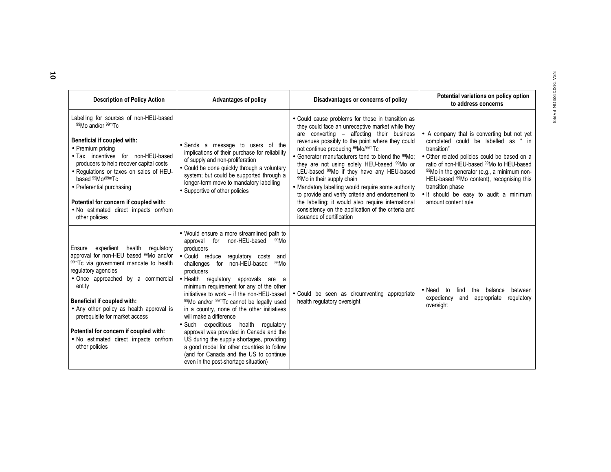| <b>Description of Policy Action</b>                                                                                                                                                                                                                                                                                                                                                                               | <b>Advantages of policy</b>                                                                                                                                                                                                                                                                                                                                                                                                                                                                                                                                                                                                                                                                                                               | Disadvantages or concerns of policy                                                                                                                                                                                                                                                                                                                                                                                                                                                                                                                                                                                                                                           | Potential variations on policy option<br>to address concerns                                                                                                                                                                                                                                                                                                                                          |
|-------------------------------------------------------------------------------------------------------------------------------------------------------------------------------------------------------------------------------------------------------------------------------------------------------------------------------------------------------------------------------------------------------------------|-------------------------------------------------------------------------------------------------------------------------------------------------------------------------------------------------------------------------------------------------------------------------------------------------------------------------------------------------------------------------------------------------------------------------------------------------------------------------------------------------------------------------------------------------------------------------------------------------------------------------------------------------------------------------------------------------------------------------------------------|-------------------------------------------------------------------------------------------------------------------------------------------------------------------------------------------------------------------------------------------------------------------------------------------------------------------------------------------------------------------------------------------------------------------------------------------------------------------------------------------------------------------------------------------------------------------------------------------------------------------------------------------------------------------------------|-------------------------------------------------------------------------------------------------------------------------------------------------------------------------------------------------------------------------------------------------------------------------------------------------------------------------------------------------------------------------------------------------------|
| Labelling for sources of non-HEU-based<br>99Mo and/or 99mTc<br>Beneficial if coupled with:<br>• Premium pricing<br>• Tax incentives for non-HEU-based<br>producers to help recover capital costs<br>· Regulations or taxes on sales of HEU-<br>based 99Mo/99mTc<br>• Preferential purchasing<br>Potential for concern if coupled with:<br>• No estimated direct impacts on/from<br>other policies                 | • Sends a message to users of the<br>implications of their purchase for reliability<br>of supply and non-proliferation<br>• Could be done quickly through a voluntary<br>system; but could be supported through a<br>longer-term move to mandatory labelling<br>• Supportive of other policies                                                                                                                                                                                                                                                                                                                                                                                                                                            | • Could cause problems for those in transition as<br>they could face an unreceptive market while they<br>are converting - affecting their business<br>revenues possibly to the point where they could<br>not continue producing 99Mo/99mTc<br>• Generator manufacturers tend to blend the 99Mo;<br>they are not using solely HEU-based 99Mo or<br>LEU-based 99Mo if they have any HEU-based<br>99Mo in their supply chain<br>• Mandatory labelling would require some authority<br>to provide and verify criteria and endorsement to<br>the labelling; it would also require international<br>consistency on the application of the criteria and<br>issuance of certification | • A company that is converting but not yet<br>completed could be labelled as " in<br>transition"<br>• Other related policies could be based on a<br>ratio of non-HEU-based <sup>99</sup> Mo to HEU-based<br>99Mo in the generator (e.g., a minimum non-<br>HEU-based <sup>99</sup> Mo content), recognising this<br>transition phase<br>• It should be easy to audit a minimum<br>amount content rule |
| expedient health regulatory<br>Ensure<br>approval for non-HEU based 99Mo and/or<br>99mTc via government mandate to health<br>requlatory agencies<br>• Once approached by a commercial<br>entity<br>Beneficial if coupled with:<br>• Any other policy as health approval is<br>prerequisite for market access<br>Potential for concern if coupled with:<br>• No estimated direct impacts on/from<br>other policies | • Would ensure a more streamlined path to<br>non-HEU-based<br>99M <sub>O</sub><br>approval for<br>producers<br>· Could reduce regulatory costs and<br>challenges for non-HEU-based<br>99M <sub>O</sub><br>producers<br>· Health regulatory approvals are a<br>minimum requirement for any of the other<br>initiatives to work - if the non-HEU-based<br>99Mo and/or 99mTc cannot be legally used<br>in a country, none of the other initiatives<br>will make a difference<br>· Such expeditious health regulatory<br>approval was provided in Canada and the<br>US during the supply shortages, providing<br>a good model for other countries to follow<br>(and for Canada and the US to continue<br>even in the post-shortage situation) | · Could be seen as circumventing appropriate<br>health regulatory oversight                                                                                                                                                                                                                                                                                                                                                                                                                                                                                                                                                                                                   | $\bullet$ Need<br>between<br>balance<br>to<br>find<br>the<br>expediency<br>regulatory<br>and<br>appropriate<br>oversight                                                                                                                                                                                                                                                                              |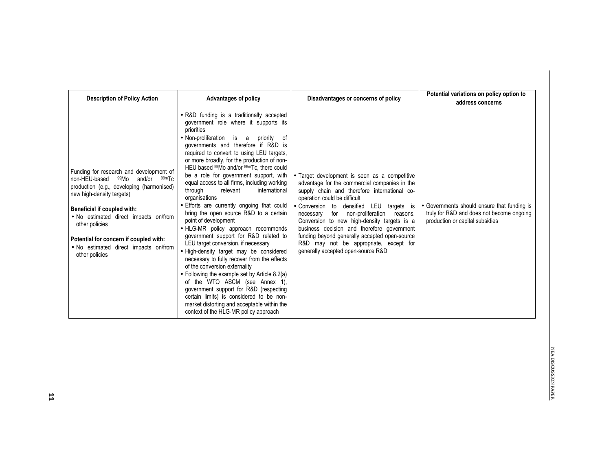| <b>Description of Policy Action</b>                                                                                                                                                                                                                                                                                                                                   | Advantages of policy                                                                                                                                                                                                                                                                                                                                                                                                                                                                                                                                                                                                                                                                                                                                                                                                                                                                                                                                                                                                                                                                                                | Disadvantages or concerns of policy                                                                                                                                                                                                                                                                                                                                                                                                                                                                           | Potential variations on policy option to<br>address concerns                                                                |
|-----------------------------------------------------------------------------------------------------------------------------------------------------------------------------------------------------------------------------------------------------------------------------------------------------------------------------------------------------------------------|---------------------------------------------------------------------------------------------------------------------------------------------------------------------------------------------------------------------------------------------------------------------------------------------------------------------------------------------------------------------------------------------------------------------------------------------------------------------------------------------------------------------------------------------------------------------------------------------------------------------------------------------------------------------------------------------------------------------------------------------------------------------------------------------------------------------------------------------------------------------------------------------------------------------------------------------------------------------------------------------------------------------------------------------------------------------------------------------------------------------|---------------------------------------------------------------------------------------------------------------------------------------------------------------------------------------------------------------------------------------------------------------------------------------------------------------------------------------------------------------------------------------------------------------------------------------------------------------------------------------------------------------|-----------------------------------------------------------------------------------------------------------------------------|
| Funding for research and development of<br>$^{99}$ Mo<br>$99m$ Tc<br>non-HEU-based<br>and/or<br>production (e.g., developing (harmonised)<br>new high-density targets)<br>Beneficial if coupled with:<br>• No estimated direct impacts on/from<br>other policies<br>Potential for concern if coupled with:<br>• No estimated direct impacts on/from<br>other policies | • R&D funding is a traditionally accepted<br>government role where it supports its<br>priorities<br>• Non-proliferation is a<br>priority<br>of<br>governments and therefore if R&D is<br>required to convert to using LEU targets.<br>or more broadly, for the production of non-<br>HEU based 99Mo and/or 99mTc, there could<br>be a role for government support, with<br>equal access to all firms, including working<br>relevant<br>international<br>through<br>organisations<br>• Efforts are currently ongoing that could<br>bring the open source R&D to a certain<br>point of development<br>• HLG-MR policy approach recommends<br>government support for R&D related to<br>LEU target conversion, if necessary<br>. High-density target may be considered<br>necessary to fully recover from the effects<br>of the conversion externality<br>• Following the example set by Article 8.2(a)<br>of the WTO ASCM (see Annex 1),<br>government support for R&D (respecting<br>certain limits) is considered to be non-<br>market distorting and acceptable within the<br>context of the HLG-MR policy approach | • Target development is seen as a competitive<br>advantage for the commercial companies in the<br>supply chain and therefore international co-<br>operation could be difficult<br>· Conversion to densified LEU targets is<br>non-proliferation<br>for<br>reasons.<br>necessary<br>Conversion to new high-density targets is a<br>business decision and therefore government<br>funding beyond generally accepted open-source<br>R&D may not be appropriate, except for<br>generally accepted open-source R&D | • Governments should ensure that funding is<br>truly for R&D and does not become ongoing<br>production or capital subsidies |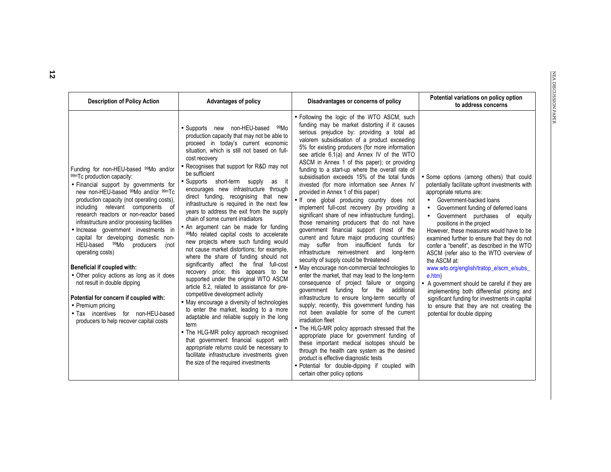| <b>Description of Policy Action</b>                                                                                                                                                                                                                                                                                                                                                                                                                                                                                                                                                                                                                                                                                                                | <b>Advantages of policy</b>                                                                                                                                                                                                                                                                                                                                                                                                                                                                                                                                                                                                                                                                                                                                                                                                                                                                                                                                                                                                                                                                                                                                                                                                                                                                                                               | Disadvantages or concerns of policy                                                                                                                                                                                                                                                                                                                                                                                                                                                                                                                                                                                                                                                                                                                                                                                                                                                                                                                                                                                                                                                                                                                                                                                                                                                                                                                                                                                                                                                                                                                                                                                                                                 | Potential variations on policy option<br>to address concerns                                                                                                                                                                                                                                                                                                                                                                                                                                                                                                                                                                                                                                                                                      |
|----------------------------------------------------------------------------------------------------------------------------------------------------------------------------------------------------------------------------------------------------------------------------------------------------------------------------------------------------------------------------------------------------------------------------------------------------------------------------------------------------------------------------------------------------------------------------------------------------------------------------------------------------------------------------------------------------------------------------------------------------|-------------------------------------------------------------------------------------------------------------------------------------------------------------------------------------------------------------------------------------------------------------------------------------------------------------------------------------------------------------------------------------------------------------------------------------------------------------------------------------------------------------------------------------------------------------------------------------------------------------------------------------------------------------------------------------------------------------------------------------------------------------------------------------------------------------------------------------------------------------------------------------------------------------------------------------------------------------------------------------------------------------------------------------------------------------------------------------------------------------------------------------------------------------------------------------------------------------------------------------------------------------------------------------------------------------------------------------------|---------------------------------------------------------------------------------------------------------------------------------------------------------------------------------------------------------------------------------------------------------------------------------------------------------------------------------------------------------------------------------------------------------------------------------------------------------------------------------------------------------------------------------------------------------------------------------------------------------------------------------------------------------------------------------------------------------------------------------------------------------------------------------------------------------------------------------------------------------------------------------------------------------------------------------------------------------------------------------------------------------------------------------------------------------------------------------------------------------------------------------------------------------------------------------------------------------------------------------------------------------------------------------------------------------------------------------------------------------------------------------------------------------------------------------------------------------------------------------------------------------------------------------------------------------------------------------------------------------------------------------------------------------------------|---------------------------------------------------------------------------------------------------------------------------------------------------------------------------------------------------------------------------------------------------------------------------------------------------------------------------------------------------------------------------------------------------------------------------------------------------------------------------------------------------------------------------------------------------------------------------------------------------------------------------------------------------------------------------------------------------------------------------------------------------|
| Funding for non-HEU-based 99Mo and/or<br>99mTc production capacity:<br>· Financial support by governments for<br>new non-HEU-based 99Mo and/or 99mTc<br>production capacity (not operating costs),<br>including relevant components of<br>research reactors or non-reactor based<br>infrastructure and/or processing facilities<br>· Increase government investments in<br>capital for developing domestic non-<br>HEU-based <sup>99</sup> Mo<br>producers<br>(not<br>operating costs)<br>Beneficial if coupled with:<br>• Other policy actions as long as it does<br>not result in double dipping<br>Potential for concern if coupled with:<br>• Premium pricing<br>• Tax incentives for non-HEU-based<br>producers to help recover capital costs | 99M <sub>O</sub><br>• Supports new non-HEU-based<br>production capacity that may not be able to<br>proceed in today's current economic<br>situation, which is still not based on full-<br>cost recovery<br>• Recognises that support for R&D may not<br>be sufficient<br>· Supports short-term supply<br>as it<br>encourages new infrastructure through<br>direct funding, recognising that new<br>infrastructure is required in the next few<br>years to address the exit from the supply<br>chain of some current irradiators<br>• An argument can be made for funding<br>99Mo related capital costs to accelerate<br>new projects where such funding would<br>not cause market distortions; for example,<br>where the share of funding should not<br>significantly affect the final full-cost<br>recovery price; this appears to be<br>supported under the original WTO ASCM<br>article 8.2, related to assistance for pre-<br>competitive development activity<br>• May encourage a diversity of technologies<br>to enter the market, leading to a more<br>adaptable and reliable supply in the long<br>term<br>• The HLG-MR policy approach recognised<br>that government financial support with<br>appropriate returns could be necessary to<br>facilitate infrastructure investments given<br>the size of the required investments | · Following the logic of the WTO ASCM, such<br>funding may be market distorting if it causes<br>serious prejudice by: providing a total ad<br>valorem subsidisation of a product exceeding<br>5% for existing producers (for more information<br>see article 6.1(a) and Annex IV of the WTO<br>ASCM in Annex 1 of this paper); or providing<br>funding to a start-up where the overall rate of<br>subsidisation exceeds 15% of the total funds<br>invested (for more information see Annex IV<br>provided in Annex 1 of this paper)<br>. If one global producing country does not<br>implement full-cost recovery (by providing a<br>significant share of new infrastructure funding).<br>those remaining producers that do not have<br>government financial support (most of the<br>current and future major producing countries)<br>may suffer from insufficient funds for<br>infrastructure reinvestment and<br>long-term<br>security of supply could be threatened<br>• May encourage non-commercial technologies to<br>enter the market, that may lead to the long-term<br>consequence of project failure or ongoing<br>government funding for the additional<br>infrastructure to ensure long-term security of<br>supply; recently, this government funding has<br>not been available for some of the current<br>irradiation fleet<br>• The HLG-MR policy approach stressed that the<br>appropriate place for government funding of<br>these important medical isotopes should be<br>through the health care system as the desired<br>product is effective diagnostic tests<br>• Potential for double-dipping if coupled with<br>certain other policy options | • Some options (among others) that could<br>potentially facilitate upfront investments with<br>appropriate returns are:<br>• Government-backed loans<br>Government funding of deferred loans<br>Government purchases of equity<br>positions in the project<br>However, these measures would have to be<br>examined further to ensure that they do not<br>confer a "benefit", as described in the WTO<br>ASCM (refer also to the WTO overview of<br>the ASCM at:<br>www.wto.org/english/tratop_e/scm_e/subs_<br>e.htm)<br>• A government should be careful if they are<br>implementing both differential pricing and<br>significant funding for investments in capital<br>to ensure that they are not creating the<br>potential for double dipping |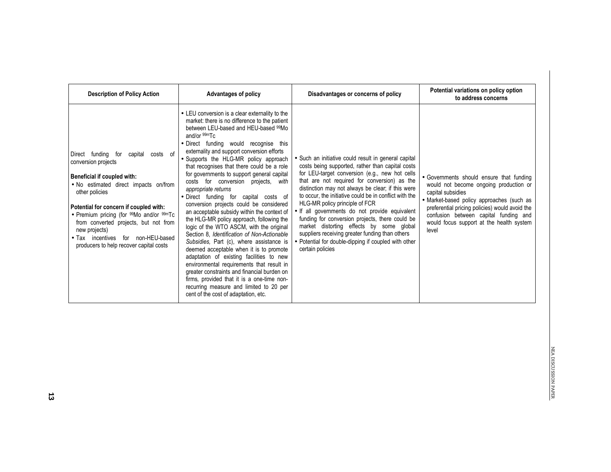| <b>Description of Policy Action</b>                                                                                                                                                                                                                                                                                                                                                                              | Advantages of policy                                                                                                                                                                                                                                                                                                                                                                                                                                                                                                                                                                                                                                                                                                                                                                                                                                                                                                                                                                                                                                                                         | Disadvantages or concerns of policy                                                                                                                                                                                                                                                                                                                                                                                                                                                                                                                                                                                                         | Potential variations on policy option<br>to address concerns                                                                                                                                                                                                                                         |
|------------------------------------------------------------------------------------------------------------------------------------------------------------------------------------------------------------------------------------------------------------------------------------------------------------------------------------------------------------------------------------------------------------------|----------------------------------------------------------------------------------------------------------------------------------------------------------------------------------------------------------------------------------------------------------------------------------------------------------------------------------------------------------------------------------------------------------------------------------------------------------------------------------------------------------------------------------------------------------------------------------------------------------------------------------------------------------------------------------------------------------------------------------------------------------------------------------------------------------------------------------------------------------------------------------------------------------------------------------------------------------------------------------------------------------------------------------------------------------------------------------------------|---------------------------------------------------------------------------------------------------------------------------------------------------------------------------------------------------------------------------------------------------------------------------------------------------------------------------------------------------------------------------------------------------------------------------------------------------------------------------------------------------------------------------------------------------------------------------------------------------------------------------------------------|------------------------------------------------------------------------------------------------------------------------------------------------------------------------------------------------------------------------------------------------------------------------------------------------------|
| Direct funding for<br>capital<br>costs of<br>conversion projects<br>Beneficial if coupled with:<br>• No estimated direct impacts on/from<br>other policies<br>Potential for concern if coupled with:<br>• Premium pricing (for $99$ Mo and/or $99$ <sup>m</sup> Tc<br>from converted projects, but not from<br>new projects)<br>for non-HEU-based<br>• Tax incentives<br>producers to help recover capital costs | • LEU conversion is a clear externality to the<br>market: there is no difference to the patient<br>between LEU-based and HEU-based 99Mo<br>and/or 99mTc<br>• Direct funding would recognise this<br>externality and support conversion efforts<br>• Supports the HLG-MR policy approach<br>that recognises that there could be a role<br>for governments to support general capital<br>costs for conversion projects, with<br>appropriate returns<br>• Direct funding for capital costs of<br>conversion projects could be considered<br>an acceptable subsidy within the context of<br>the HLG-MR policy approach, following the<br>logic of the WTO ASCM, with the original<br>Section 8. Identification of Non-Actionable<br>Subsidies. Part (c), where assistance is<br>deemed acceptable when it is to promote<br>adaptation of existing facilities to new<br>environmental requirements that result in<br>greater constraints and financial burden on<br>firms, provided that it is a one-time non-<br>recurring measure and limited to 20 per<br>cent of the cost of adaptation, etc. | • Such an initiative could result in general capital<br>costs being supported, rather than capital costs<br>for LEU-target conversion (e.g., new hot cells<br>that are not required for conversion) as the<br>distinction may not always be clear; if this were<br>to occur, the initiative could be in conflict with the<br>HLG-MR policy principle of FCR<br>• If all governments do not provide equivalent<br>funding for conversion projects, there could be<br>market distorting effects by some global<br>suppliers receiving greater funding than others<br>• Potential for double-dipping if coupled with other<br>certain policies | • Governments should ensure that funding<br>would not become ongoing production or<br>capital subsidies<br>• Market-based policy approaches (such as<br>preferential pricing policies) would avoid the<br>confusion between capital funding and<br>would focus support at the health system<br>level |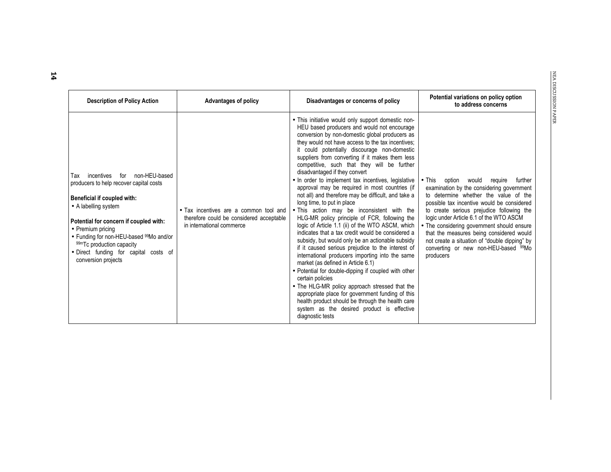| <b>Description of Policy Action</b>                                                                                                                                                                                                                                                                                                                            | <b>Advantages of policy</b>                                                                                     | Disadvantages or concerns of policy                                                                                                                                                                                                                                                                                                                                                                                                                                                                                                                                                                                                                                                                                                                                                                                                                                                                                                                                                                                                                                                                                                                                                                                                                                                                         | Potential variations on policy option<br>to address concerns                                                                                                                                                                                                                                                                                                                                                                                                                        |
|----------------------------------------------------------------------------------------------------------------------------------------------------------------------------------------------------------------------------------------------------------------------------------------------------------------------------------------------------------------|-----------------------------------------------------------------------------------------------------------------|-------------------------------------------------------------------------------------------------------------------------------------------------------------------------------------------------------------------------------------------------------------------------------------------------------------------------------------------------------------------------------------------------------------------------------------------------------------------------------------------------------------------------------------------------------------------------------------------------------------------------------------------------------------------------------------------------------------------------------------------------------------------------------------------------------------------------------------------------------------------------------------------------------------------------------------------------------------------------------------------------------------------------------------------------------------------------------------------------------------------------------------------------------------------------------------------------------------------------------------------------------------------------------------------------------------|-------------------------------------------------------------------------------------------------------------------------------------------------------------------------------------------------------------------------------------------------------------------------------------------------------------------------------------------------------------------------------------------------------------------------------------------------------------------------------------|
| non-HEU-based<br>incentives<br>Tax<br>for<br>producers to help recover capital costs<br>Beneficial if coupled with:<br>• A labelling system<br>Potential for concern if coupled with:<br>• Premium pricing<br>• Funding for non-HEU-based <sup>99</sup> Mo and/or<br>99mTc production capacity<br>• Direct funding for capital costs of<br>conversion projects | • Tax incentives are a common tool and<br>therefore could be considered acceptable<br>in international commerce | • This initiative would only support domestic non-<br>HEU based producers and would not encourage<br>conversion by non-domestic global producers as<br>they would not have access to the tax incentives;<br>it could potentially discourage non-domestic<br>suppliers from converting if it makes them less<br>competitive, such that they will be further<br>disadvantaged if they convert<br>• In order to implement tax incentives, legislative<br>approval may be required in most countries (if<br>not all) and therefore may be difficult, and take a<br>long time, to put in place<br>. This action may be inconsistent with the<br>HLG-MR policy principle of FCR, following the<br>logic of Article 1.1 (ii) of the WTO ASCM, which<br>indicates that a tax credit would be considered a<br>subsidy, but would only be an actionable subsidy<br>if it caused serious prejudice to the interest of<br>international producers importing into the same<br>market (as defined in Article 6.1)<br>• Potential for double-dipping if coupled with other<br>certain policies<br>• The HLG-MR policy approach stressed that the<br>appropriate place for government funding of this<br>health product should be through the health care<br>system as the desired product is effective<br>diagnostic tests | $\bullet$ This<br>option<br>would<br>require<br>further<br>examination by the considering government<br>to determine whether the value of the<br>possible tax incentive would be considered<br>to create serious prejudice following the<br>logic under Article 6.1 of the WTO ASCM<br>• The considering government should ensure<br>that the measures being considered would<br>not create a situation of "double dipping" by<br>converting or new non-HEU-based 99Mo<br>producers |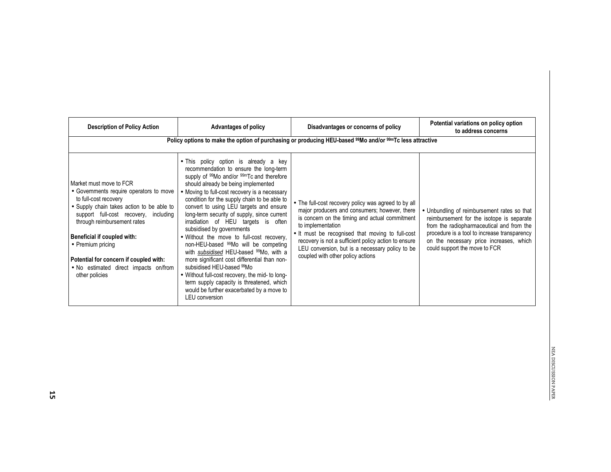| <b>Description of Policy Action</b>                                                                                                                                                                                                                                                                                                                                       | <b>Advantages of policy</b>                                                                                                                                                                                                                                                                                                                                                                                                                                                                                                                                                                                                                                                                                                                                                                                   | Disadvantages or concerns of policy                                                                                                                                                                                                                                                                                                                                              | Potential variations on policy option<br>to address concerns                                                                                                                                                                                                      |
|---------------------------------------------------------------------------------------------------------------------------------------------------------------------------------------------------------------------------------------------------------------------------------------------------------------------------------------------------------------------------|---------------------------------------------------------------------------------------------------------------------------------------------------------------------------------------------------------------------------------------------------------------------------------------------------------------------------------------------------------------------------------------------------------------------------------------------------------------------------------------------------------------------------------------------------------------------------------------------------------------------------------------------------------------------------------------------------------------------------------------------------------------------------------------------------------------|----------------------------------------------------------------------------------------------------------------------------------------------------------------------------------------------------------------------------------------------------------------------------------------------------------------------------------------------------------------------------------|-------------------------------------------------------------------------------------------------------------------------------------------------------------------------------------------------------------------------------------------------------------------|
|                                                                                                                                                                                                                                                                                                                                                                           |                                                                                                                                                                                                                                                                                                                                                                                                                                                                                                                                                                                                                                                                                                                                                                                                               | Policy options to make the option of purchasing or producing HEU-based <sup>99</sup> Mo and/or <sup>99m</sup> Tc less attractive                                                                                                                                                                                                                                                 |                                                                                                                                                                                                                                                                   |
| Market must move to FCR<br>• Governments require operators to move<br>to full-cost recovery<br>• Supply chain takes action to be able to<br>support full-cost recovery, including<br>through reimbursement rates<br>Beneficial if coupled with:<br>• Premium pricing<br>Potential for concern if coupled with:<br>• No estimated direct impacts on/from<br>other policies | • This policy option is already a key<br>recommendation to ensure the long-term<br>supply of 99Mo and/or 99mTc and therefore<br>should already be being implemented<br>• Moving to full-cost recovery is a necessary<br>condition for the supply chain to be able to<br>convert to using LEU targets and ensure<br>long-term security of supply, since current<br>irradiation of HEU targets is often<br>subsidised by governments<br>• Without the move to full-cost recovery,<br>non-HEU-based 99Mo will be competing<br>with subsidised HEU-based 99Mo, with a<br>more significant cost differential than non-<br>subsidised HEU-based 99Mo<br>• Without full-cost recovery, the mid- to long-<br>term supply capacity is threatened, which<br>would be further exacerbated by a move to<br>LEU conversion | • The full-cost recovery policy was agreed to by all<br>major producers and consumers; however, there<br>is concern on the timing and actual commitment<br>to implementation<br>• It must be recognised that moving to full-cost<br>recovery is not a sufficient policy action to ensure<br>LEU conversion, but is a necessary policy to be<br>coupled with other policy actions | • Unbundling of reimbursement rates so that<br>reimbursement for the isotope is separate<br>from the radiopharmaceutical and from the<br>procedure is a tool to increase transparency<br>on the necessary price increases, which<br>could support the move to FCR |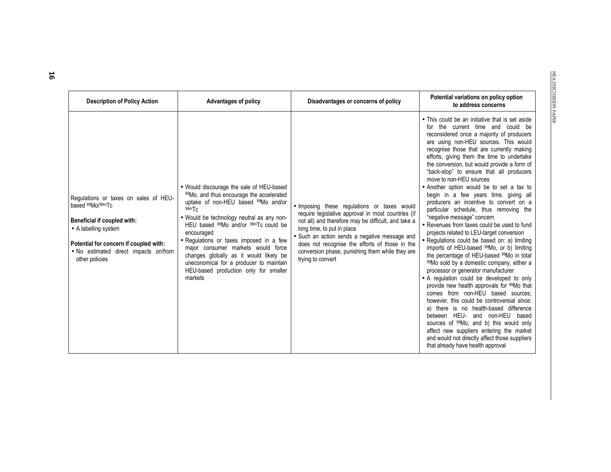| <b>Description of Policy Action</b>                                                                                                                                                                                   | <b>Advantages of policy</b>                                                                                                                                                                                                                                                                                                                                                                                                                                          | Disadvantages or concerns of policy                                                                                                                                                                                                                                                                                                                               | Potential variations on policy option<br>to address concerns                                                                                                                                                                                                                                                                                                                                                                                                                                                                                                                                                                                                                                                                                                                                                                                                                                                                                                                                                                                                                                                                                                                                                                                                                                                                                                          |
|-----------------------------------------------------------------------------------------------------------------------------------------------------------------------------------------------------------------------|----------------------------------------------------------------------------------------------------------------------------------------------------------------------------------------------------------------------------------------------------------------------------------------------------------------------------------------------------------------------------------------------------------------------------------------------------------------------|-------------------------------------------------------------------------------------------------------------------------------------------------------------------------------------------------------------------------------------------------------------------------------------------------------------------------------------------------------------------|-----------------------------------------------------------------------------------------------------------------------------------------------------------------------------------------------------------------------------------------------------------------------------------------------------------------------------------------------------------------------------------------------------------------------------------------------------------------------------------------------------------------------------------------------------------------------------------------------------------------------------------------------------------------------------------------------------------------------------------------------------------------------------------------------------------------------------------------------------------------------------------------------------------------------------------------------------------------------------------------------------------------------------------------------------------------------------------------------------------------------------------------------------------------------------------------------------------------------------------------------------------------------------------------------------------------------------------------------------------------------|
| Regulations or taxes on sales of HEU-<br>based 99Mo/99mTc<br>Beneficial if coupled with:<br>• A labelling system<br>Potential for concern if coupled with:<br>• No estimated direct impacts on/from<br>other policies | • Would discourage the sale of HEU-based<br>99Mo, and thus encourage the accelerated<br>uptake of non-HEU based 99Mo and/or<br>$99m$ Tc<br>• Would be technology neutral as any non-<br>HEU based 99Mo and/or 99mTc could be<br>encouraged<br>• Regulations or taxes imposed in a few<br>maior consumer markets would force<br>changes globally as it would likely be<br>uneconomical for a producer to maintain<br>HEU-based production only for smaller<br>markets | • Imposing these regulations or taxes would<br>require legislative approval in most countries (if<br>not all) and therefore may be difficult, and take a<br>long time, to put in place<br>• Such an action sends a negative message and<br>does not recognise the efforts of those in the<br>conversion phase, punishing them while they are<br>trying to convert | • This could be an initiative that is set aside<br>for the current time and could be<br>reconsidered once a majority of producers<br>are using non-HEU sources. This would<br>recognise those that are currently making<br>efforts, giving them the time to undertake<br>the conversion, but would provide a form of<br>"back-stop" to ensure that all producers<br>move to non-HEU sources<br>• Another option would be to set a tax to<br>begin in a few years time, giving all<br>producers an incentive to convert on a<br>particular schedule, thus removing the<br>"negative message" concern<br>• Revenues from taxes could be used to fund<br>projects related to LEU-target conversion<br>• Requlations could be based on: a) limiting<br>imports of HEU-based 99Mo, or b) limiting<br>the percentage of HEU-based 99Mo in total<br>99Mo sold by a domestic company, either a<br>processor or generator manufacturer<br>• A regulation could be developed to only<br>provide new health approvals for 99Mo that<br>comes from non-HEU based sources:<br>however, this could be controversial since:<br>a) there is no health-based difference<br>between HEU- and non-HEU based<br>sources of 99Mo, and b) this would only<br>affect new suppliers entering the market<br>and would not directly affect those suppliers<br>that already have health approval |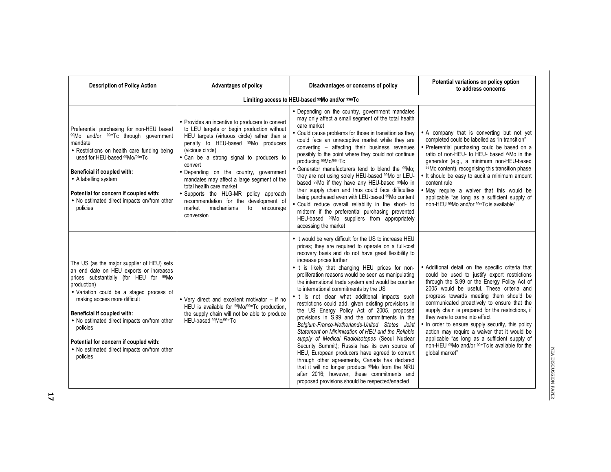| <b>Description of Policy Action</b>                                                                                                                                                                                                                                                                                                                                                                                       | <b>Advantages of policy</b>                                                                                                                                                                                                                                                                                                                                                                                                                                                                                                   | Disadvantages or concerns of policy                                                                                                                                                                                                                                                                                                                                                                                                                                                                                                                                                                                                                                                                                                                                                                                                                                                                                                                                                                                                                                                      | Potential variations on policy option<br>to address concerns                                                                                                                                                                                                                                                                                                                                                                                                                                                                                                                                            |
|---------------------------------------------------------------------------------------------------------------------------------------------------------------------------------------------------------------------------------------------------------------------------------------------------------------------------------------------------------------------------------------------------------------------------|-------------------------------------------------------------------------------------------------------------------------------------------------------------------------------------------------------------------------------------------------------------------------------------------------------------------------------------------------------------------------------------------------------------------------------------------------------------------------------------------------------------------------------|------------------------------------------------------------------------------------------------------------------------------------------------------------------------------------------------------------------------------------------------------------------------------------------------------------------------------------------------------------------------------------------------------------------------------------------------------------------------------------------------------------------------------------------------------------------------------------------------------------------------------------------------------------------------------------------------------------------------------------------------------------------------------------------------------------------------------------------------------------------------------------------------------------------------------------------------------------------------------------------------------------------------------------------------------------------------------------------|---------------------------------------------------------------------------------------------------------------------------------------------------------------------------------------------------------------------------------------------------------------------------------------------------------------------------------------------------------------------------------------------------------------------------------------------------------------------------------------------------------------------------------------------------------------------------------------------------------|
|                                                                                                                                                                                                                                                                                                                                                                                                                           |                                                                                                                                                                                                                                                                                                                                                                                                                                                                                                                               | Limiting access to HEU-based 99Mo and/or 99mTc                                                                                                                                                                                                                                                                                                                                                                                                                                                                                                                                                                                                                                                                                                                                                                                                                                                                                                                                                                                                                                           |                                                                                                                                                                                                                                                                                                                                                                                                                                                                                                                                                                                                         |
| Preferential purchasing for non-HEU based<br>99Mo and/or 99mTc through government<br>mandate<br>• Restrictions on health care funding being<br>used for HEU-based 99Mo/99mTc<br>Beneficial if coupled with:<br>• A labelling system<br>Potential for concern if coupled with:<br>• No estimated direct impacts on/from other<br>policies                                                                                  | • Provides an incentive to producers to convert<br>to LEU targets or begin production without<br>HEU targets (virtuous circle) rather than a<br>penalty to HEU-based 99Mo producers<br>(vicious circle)<br>• Can be a strong signal to producers to<br>convert<br>· Depending on the country, government<br>mandates may affect a large segment of the<br>total health care market<br>• Supports the HLG-MR policy approach<br>recommendation for the development of<br>market<br>mechanisms<br>to<br>encourage<br>conversion | • Depending on the country, government mandates<br>may only affect a small segment of the total health<br>care market<br>• Could cause problems for those in transition as they<br>could face an unreceptive market while they are<br>converting - affecting their business revenues<br>possibly to the point where they could not continue<br>producing 99Mo/99mTc<br>• Generator manufacturers tend to blend the 99Mo;<br>they are not using solely HEU-based 99Mo or LEU-<br>based 99Mo if they have any HEU-based 99Mo in<br>their supply chain and thus could face difficulties<br>being purchased even with LEU-based 99Mo content<br>. Could reduce overall reliability in the short- to<br>midterm if the preferential purchasing prevented<br>HEU-based 99Mo suppliers from appropriately<br>accessing the market                                                                                                                                                                                                                                                               | • A company that is converting but not yet<br>completed could be labelled as "in transition"<br>• Preferential purchasing could be based on a<br>ratio of non-HEU- to HEU- based 99Mo in the<br>generator (e.g., a minimum non-HEU-based<br>99Mo content), recognising this transition phase<br>• It should be easy to audit a minimum amount<br>content rule<br>• May require a waiver that this would be<br>applicable "as long as a sufficient supply of<br>non-HEU 99Mo and/or 99mTc is available"                                                                                                  |
| The US (as the major supplier of HEU) sets<br>an end date on HEU exports or increases<br>prices substantially (for HEU for 99Mo<br>production)<br>· Variation could be a staged process of<br>making access more difficult<br>Beneficial if coupled with:<br>• No estimated direct impacts on/from other<br>policies<br>Potential for concern if coupled with:<br>• No estimated direct impacts on/from other<br>policies | • Very direct and excellent motivator - if no<br>HEU is available for 99Mo/99mTc production,<br>the supply chain will not be able to produce<br>HEU-based 99Mo/99mTc                                                                                                                                                                                                                                                                                                                                                          | • It would be very difficult for the US to increase HEU<br>prices; they are required to operate on a full-cost<br>recovery basis and do not have great flexibility to<br>increase prices further<br>• It is likely that changing HEU prices for non-<br>proliferation reasons would be seen as manipulating<br>the international trade system and would be counter<br>to international commitments by the US<br>• It is not clear what additional impacts such<br>restrictions could add, given existing provisions in<br>the US Energy Policy Act of 2005, proposed<br>provisions in S.99 and the commitments in the<br>Belgium-France-Netherlands-United States Joint<br>Statement on Minimisation of HEU and the Reliable<br>supply of Medical Radioisotopes (Seoul Nuclear<br>Security Summit); Russia has its own source of<br>HEU, European producers have agreed to convert<br>through other agreements, Canada has declared<br>that it will no longer produce 99Mo from the NRU<br>after 2016; however, these commitments and<br>proposed provisions should be respected/enacted | • Additional detail on the specific criteria that<br>could be used to justify export restrictions<br>through the S.99 or the Energy Policy Act of<br>2005 would be useful. These criteria and<br>progress towards meeting them should be<br>communicated proactively to ensure that the<br>supply chain is prepared for the restrictions, if<br>they were to come into effect<br>. In order to ensure supply security, this policy<br>action may require a waiver that it would be<br>applicable "as long as a sufficient supply of<br>non-HEU 99Mo and/or 99mTc is available for the<br>global market" |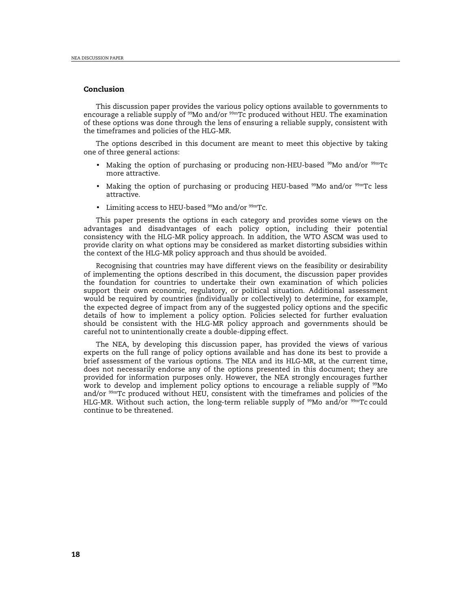#### Conclusion

This discussion paper provides the various policy options available to governments to encourage a reliable supply of <sup>99</sup>Mo and/or <sup>99m</sup>Tc produced without HEU. The examination of these options was done through the lens of ensuring a reliable supply, consistent with the timeframes and policies of the HLG-MR.

The options described in this document are meant to meet this objective by taking one of three general actions:

- Making the option of purchasing or producing non-HEU-based  $^{99}$ Mo and/or  $^{99m}$ Tc more attractive.
- Making the option of purchasing or producing HEU-based  $99$ Mo and/or  $99$ mTc less attractive.
- Limiting access to HEU-based  $99$ Mo and/or  $99$ mTc.

This paper presents the options in each category and provides some views on the advantages and disadvantages of each policy option, including their potential consistency with the HLG-MR policy approach. In addition, the WTO ASCM was used to provide clarity on what options may be considered as market distorting subsidies within the context of the HLG-MR policy approach and thus should be avoided.

Recognising that countries may have different views on the feasibility or desirability of implementing the options described in this document, the discussion paper provides the foundation for countries to undertake their own examination of which policies support their own economic, regulatory, or political situation. Additional assessment would be required by countries (individually or collectively) to determine, for example, the expected degree of impact from any of the suggested policy options and the specific details of how to implement a policy option. Policies selected for further evaluation should be consistent with the HLG-MR policy approach and governments should be careful not to unintentionally create a double-dipping effect.

The NEA, by developing this discussion paper, has provided the views of various experts on the full range of policy options available and has done its best to provide a brief assessment of the various options. The NEA and its HLG-MR, at the current time, does not necessarily endorse any of the options presented in this document; they are provided for information purposes only. However, the NEA strongly encourages further work to develop and implement policy options to encourage a reliable supply of <sup>99</sup>Mo and/or <sup>99m</sup>Tc produced without HEU, consistent with the timeframes and policies of the HLG-MR. Without such action, the long-term reliable supply of  $99$ Mo and/or  $99$ mTc could continue to be threatened.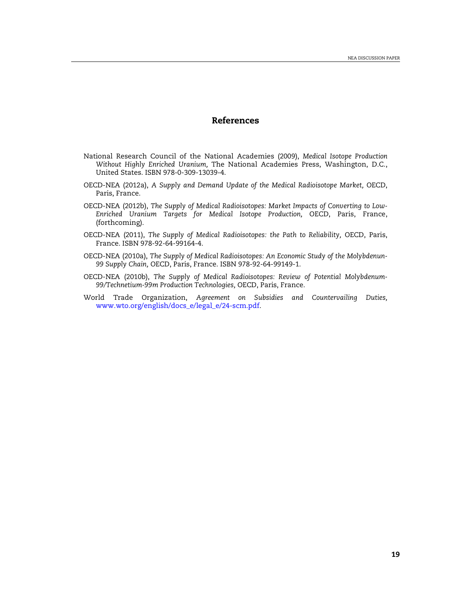# References

- National Research Council of the National Academies (2009), *Medical Isotope Production Without Highly Enriched Uranium,* The National Academies Press, Washington, D.C., United States. ISBN 978-0-309-13039-4.
- OECD-NEA (2012a), *A Supply and Demand Update of the Medical Radioisotope Market,* OECD, Paris, France.
- OECD-NEA (2012b), *The Supply of Medical Radioisotopes: Market Impacts of Converting to Low-Enriched Uranium Targets for Medical Isotope Production,* OECD, Paris, France, (forthcoming).
- OECD-NEA (2011), *The Supply of Medical Radioisotopes: the Path to Reliability,* OECD, Paris, France. ISBN 978-92-64-99164-4.
- OECD-NEA (2010a), *The Supply of Medical Radioisotopes: An Economic Study of the Molybdenun-99 Supply Chain,* OECD, Paris, France. ISBN 978-92-64-99149-1.
- OECD-NEA (2010b), *The Supply of Medical Radioisotopes: Review of Potential Molybdenum-99/Technetium-99m Production Technologies,* OECD, Paris, France.
- World Trade Organization, *Agreement on Subsidies and Countervailing Duties,*  www.wto.org/english/docs\_e/legal\_e/24-scm.pdf.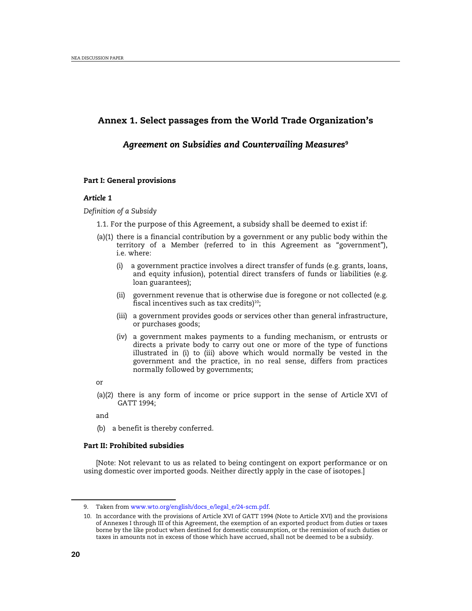## Annex 1. Select passages from the World Trade Organization's

## *Agreement on Subsidies and Countervailing Measures*<sup>9</sup>

#### Part I: General provisions

#### *Article 1*

#### *Definition of a Subsidy*

1.1. For the purpose of this Agreement, a subsidy shall be deemed to exist if:

- (a)(1) there is a financial contribution by a government or any public body within the territory of a Member (referred to in this Agreement as "government"), i.e. where:
	- (i) a government practice involves a direct transfer of funds (e.g. grants, loans, and equity infusion), potential direct transfers of funds or liabilities (e.g. loan guarantees);
	- (ii) government revenue that is otherwise due is foregone or not collected (e.g. fiscal incentives such as tax credits $10$ ;
	- (iii) a government provides goods or services other than general infrastructure, or purchases goods;
	- (iv) a government makes payments to a funding mechanism, or entrusts or directs a private body to carry out one or more of the type of functions illustrated in (i) to (iii) above which would normally be vested in the government and the practice, in no real sense, differs from practices normally followed by governments;

or

(a)(2) there is any form of income or price support in the sense of Article XVI of GATT 1994;

and

(b) a benefit is thereby conferred.

#### Part II: Prohibited subsidies

[Note: Not relevant to us as related to being contingent on export performance or on using domestic over imported goods. Neither directly apply in the case of isotopes.]

<sup>9.</sup> Taken from www.wto.org/english/docs\_e/legal\_e/24-scm.pdf.

<sup>10.</sup> In accordance with the provisions of Article XVI of GATT 1994 (Note to Article XVI) and the provisions of Annexes I through III of this Agreement, the exemption of an exported product from duties or taxes borne by the like product when destined for domestic consumption, or the remission of such duties or taxes in amounts not in excess of those which have accrued, shall not be deemed to be a subsidy.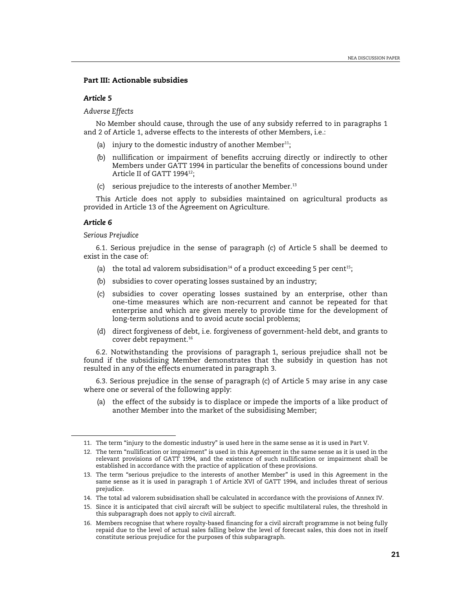#### Part III: Actionable subsidies

#### *Article 5*

#### *Adverse Effects*

No Member should cause, through the use of any subsidy referred to in paragraphs 1 and 2 of Article 1, adverse effects to the interests of other Members, i.e.:

- (a) injury to the domestic industry of another Member<sup>11</sup>;
- (b) nullification or impairment of benefits accruing directly or indirectly to other Members under GATT 1994 in particular the benefits of concessions bound under Article II of GATT 1994<sup>12</sup>;
- (c) serious prejudice to the interests of another Member.<sup>13</sup>

This Article does not apply to subsidies maintained on agricultural products as provided in Article 13 of the Agreement on Agriculture.

#### *Article 6*

 $\overline{a}$ 

#### *Serious Prejudice*

6.1. Serious prejudice in the sense of paragraph (c) of Article 5 shall be deemed to exist in the case of:

- (a) the total ad valorem subsidisation<sup>14</sup> of a product exceeding 5 per cent<sup>15</sup>;
- (b) subsidies to cover operating losses sustained by an industry;
- (c) subsidies to cover operating losses sustained by an enterprise, other than one-time measures which are non-recurrent and cannot be repeated for that enterprise and which are given merely to provide time for the development of long-term solutions and to avoid acute social problems;
- (d) direct forgiveness of debt, i.e. forgiveness of government-held debt, and grants to cover debt repayment.<sup>16</sup>

6.2. Notwithstanding the provisions of paragraph 1, serious prejudice shall not be found if the subsidising Member demonstrates that the subsidy in question has not resulted in any of the effects enumerated in paragraph 3.

6.3. Serious prejudice in the sense of paragraph (c) of Article 5 may arise in any case where one or several of the following apply:

(a) the effect of the subsidy is to displace or impede the imports of a like product of another Member into the market of the subsidising Member;

<sup>11.</sup> The term "injury to the domestic industry" is used here in the same sense as it is used in Part V.

<sup>12.</sup> The term "nullification or impairment" is used in this Agreement in the same sense as it is used in the relevant provisions of GATT 1994, and the existence of such nullification or impairment shall be established in accordance with the practice of application of these provisions.

<sup>13.</sup> The term "serious prejudice to the interests of another Member" is used in this Agreement in the same sense as it is used in paragraph 1 of Article XVI of GATT 1994, and includes threat of serious prejudice.

<sup>14.</sup> The total ad valorem subsidisation shall be calculated in accordance with the provisions of Annex IV.

<sup>15.</sup> Since it is anticipated that civil aircraft will be subject to specific multilateral rules, the threshold in this subparagraph does not apply to civil aircraft.

<sup>16.</sup> Members recognise that where royalty-based financing for a civil aircraft programme is not being fully repaid due to the level of actual sales falling below the level of forecast sales, this does not in itself constitute serious prejudice for the purposes of this subparagraph.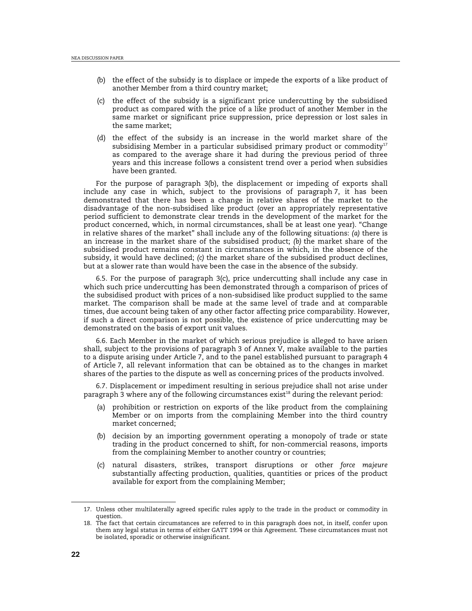- (b) the effect of the subsidy is to displace or impede the exports of a like product of another Member from a third country market;
- (c) the effect of the subsidy is a significant price undercutting by the subsidised product as compared with the price of a like product of another Member in the same market or significant price suppression, price depression or lost sales in the same market;
- (d) the effect of the subsidy is an increase in the world market share of the subsidising Member in a particular subsidised primary product or commodity $17$ as compared to the average share it had during the previous period of three years and this increase follows a consistent trend over a period when subsidies have been granted.

For the purpose of paragraph 3(b), the displacement or impeding of exports shall include any case in which, subject to the provisions of paragraph 7, it has been demonstrated that there has been a change in relative shares of the market to the disadvantage of the non-subsidised like product (over an appropriately representative period sufficient to demonstrate clear trends in the development of the market for the product concerned, which, in normal circumstances, shall be at least one year). "Change in relative shares of the market" shall include any of the following situations: *(a)* there is an increase in the market share of the subsidised product; *(b)* the market share of the subsidised product remains constant in circumstances in which, in the absence of the subsidy, it would have declined; *(c)* the market share of the subsidised product declines, but at a slower rate than would have been the case in the absence of the subsidy.

6.5. For the purpose of paragraph 3(c), price undercutting shall include any case in which such price undercutting has been demonstrated through a comparison of prices of the subsidised product with prices of a non-subsidised like product supplied to the same market. The comparison shall be made at the same level of trade and at comparable times, due account being taken of any other factor affecting price comparability. However, if such a direct comparison is not possible, the existence of price undercutting may be demonstrated on the basis of export unit values.

6.6. Each Member in the market of which serious prejudice is alleged to have arisen shall, subject to the provisions of paragraph 3 of Annex V, make available to the parties to a dispute arising under Article 7, and to the panel established pursuant to paragraph 4 of Article 7, all relevant information that can be obtained as to the changes in market shares of the parties to the dispute as well as concerning prices of the products involved.

6.7. Displacement or impediment resulting in serious prejudice shall not arise under paragraph  $\overline{3}$  where any of the following circumstances exist<sup>18</sup> during the relevant period:

- (a) prohibition or restriction on exports of the like product from the complaining Member or on imports from the complaining Member into the third country market concerned;
- (b) decision by an importing government operating a monopoly of trade or state trading in the product concerned to shift, for non-commercial reasons, imports from the complaining Member to another country or countries;
- (c) natural disasters, strikes, transport disruptions or other *force majeure* substantially affecting production, qualities, quantities or prices of the product available for export from the complaining Member;

<sup>17.</sup> Unless other multilaterally agreed specific rules apply to the trade in the product or commodity in question.

<sup>18.</sup> The fact that certain circumstances are referred to in this paragraph does not, in itself, confer upon them any legal status in terms of either GATT 1994 or this Agreement. These circumstances must not be isolated, sporadic or otherwise insignificant.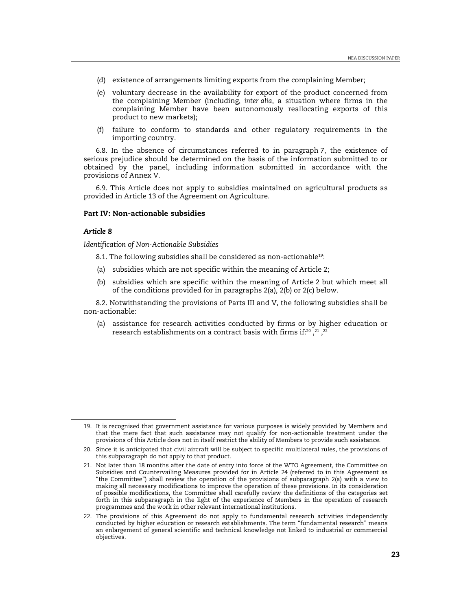- (d) existence of arrangements limiting exports from the complaining Member;
- (e) voluntary decrease in the availability for export of the product concerned from the complaining Member (including, *inter alia*, a situation where firms in the complaining Member have been autonomously reallocating exports of this product to new markets);
- (f) failure to conform to standards and other regulatory requirements in the importing country.

6.8. In the absence of circumstances referred to in paragraph 7, the existence of serious prejudice should be determined on the basis of the information submitted to or obtained by the panel, including information submitted in accordance with the provisions of Annex V.

6.9. This Article does not apply to subsidies maintained on agricultural products as provided in Article 13 of the Agreement on Agriculture.

#### Part IV: Non-actionable subsidies

#### *Article 8*

 $\overline{a}$ 

*Identification of Non-Actionable Subsidies* 

- 8.1. The following subsidies shall be considered as non-actionable<sup>19</sup>:
- (a) subsidies which are not specific within the meaning of Article 2;
- (b) subsidies which are specific within the meaning of Article 2 but which meet all of the conditions provided for in paragraphs 2(a), 2(b) or 2(c) below.

8.2. Notwithstanding the provisions of Parts III and V, the following subsidies shall be non-actionable:

(a) assistance for research activities conducted by firms or by higher education or research establishments on a contract basis with firms if:20 ,21 ,22  $\,$ 

<sup>19.</sup> It is recognised that government assistance for various purposes is widely provided by Members and that the mere fact that such assistance may not qualify for non-actionable treatment under the provisions of this Article does not in itself restrict the ability of Members to provide such assistance.

<sup>20.</sup> Since it is anticipated that civil aircraft will be subject to specific multilateral rules, the provisions of this subparagraph do not apply to that product.

<sup>21.</sup> Not later than 18 months after the date of entry into force of the WTO Agreement, the Committee on Subsidies and Countervailing Measures provided for in Article 24 (referred to in this Agreement as "the Committee") shall review the operation of the provisions of subparagraph 2(a) with a view to making all necessary modifications to improve the operation of these provisions. In its consideration of possible modifications, the Committee shall carefully review the definitions of the categories set forth in this subparagraph in the light of the experience of Members in the operation of research programmes and the work in other relevant international institutions.

<sup>22.</sup> The provisions of this Agreement do not apply to fundamental research activities independently conducted by higher education or research establishments. The term "fundamental research" means an enlargement of general scientific and technical knowledge not linked to industrial or commercial objectives.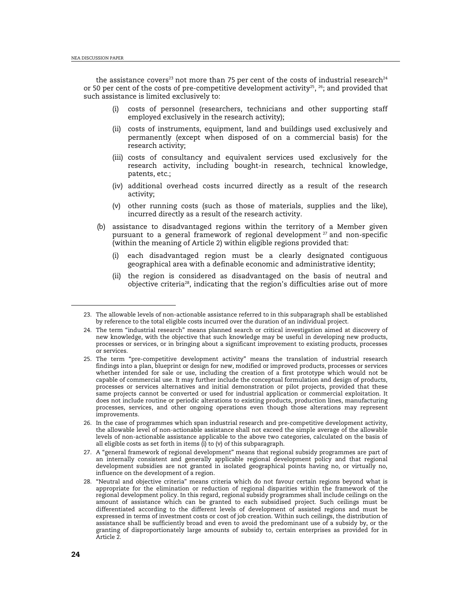the assistance covers<sup>23</sup> not more than 75 per cent of the costs of industrial research<sup>24</sup> or 50 per cent of the costs of pre-competitive development activity $^{25}$ ,  $^{26}$ ; and provided that such assistance is limited exclusively to:

- (i) costs of personnel (researchers, technicians and other supporting staff employed exclusively in the research activity);
- (ii) costs of instruments, equipment, land and buildings used exclusively and permanently (except when disposed of on a commercial basis) for the research activity;
- (iii) costs of consultancy and equivalent services used exclusively for the research activity, including bought-in research, technical knowledge, patents, etc.;
- (iv) additional overhead costs incurred directly as a result of the research activity;
- (v) other running costs (such as those of materials, supplies and the like), incurred directly as a result of the research activity.
- (b) assistance to disadvantaged regions within the territory of a Member given pursuant to a general framework of regional development <sup>27</sup> and non-specific (within the meaning of Article 2) within eligible regions provided that:
	- (i) each disadvantaged region must be a clearly designated contiguous geographical area with a definable economic and administrative identity;
	- (ii) the region is considered as disadvantaged on the basis of neutral and objective criteria<sup>28</sup>, indicating that the region's difficulties arise out of more

<sup>23.</sup> The allowable levels of non-actionable assistance referred to in this subparagraph shall be established by reference to the total eligible costs incurred over the duration of an individual project.

<sup>24.</sup> The term "industrial research" means planned search or critical investigation aimed at discovery of new knowledge, with the objective that such knowledge may be useful in developing new products, processes or services, or in bringing about a significant improvement to existing products, processes or services.

<sup>25.</sup> The term "pre-competitive development activity" means the translation of industrial research findings into a plan, blueprint or design for new, modified or improved products, processes or services whether intended for sale or use, including the creation of a first prototype which would not be capable of commercial use. It may further include the conceptual formulation and design of products, processes or services alternatives and initial demonstration or pilot projects, provided that these same projects cannot be converted or used for industrial application or commercial exploitation. It does not include routine or periodic alterations to existing products, production lines, manufacturing processes, services, and other ongoing operations even though those alterations may represent improvements.

<sup>26.</sup> In the case of programmes which span industrial research and pre-competitive development activity, the allowable level of non-actionable assistance shall not exceed the simple average of the allowable levels of non-actionable assistance applicable to the above two categories, calculated on the basis of all eligible costs as set forth in items (i) to (v) of this subparagraph.

<sup>27.</sup> A "general framework of regional development" means that regional subsidy programmes are part of an internally consistent and generally applicable regional development policy and that regional development subsidies are not granted in isolated geographical points having no, or virtually no, influence on the development of a region.

<sup>28. &</sup>quot;Neutral and objective criteria" means criteria which do not favour certain regions beyond what is appropriate for the elimination or reduction of regional disparities within the framework of the regional development policy. In this regard, regional subsidy programmes shall include ceilings on the amount of assistance which can be granted to each subsidised project. Such ceilings must be differentiated according to the different levels of development of assisted regions and must be expressed in terms of investment costs or cost of job creation. Within such ceilings, the distribution of assistance shall be sufficiently broad and even to avoid the predominant use of a subsidy by, or the granting of disproportionately large amounts of subsidy to, certain enterprises as provided for in Article 2.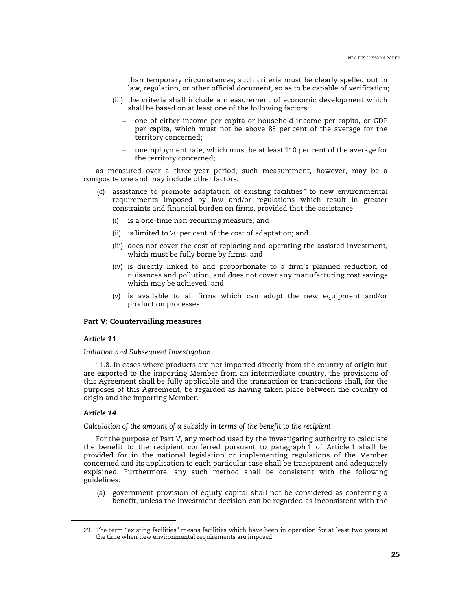than temporary circumstances; such criteria must be clearly spelled out in law, regulation, or other official document, so as to be capable of verification;

- (iii) the criteria shall include a measurement of economic development which shall be based on at least one of the following factors:
	- one of either income per capita or household income per capita, or GDP per capita, which must not be above 85 per cent of the average for the territory concerned;
	- unemployment rate, which must be at least 110 per cent of the average for the territory concerned;

as measured over a three-year period; such measurement, however, may be a composite one and may include other factors.

- (c) assistance to promote adaptation of existing facilities<sup>29</sup> to new environmental requirements imposed by law and/or regulations which result in greater constraints and financial burden on firms, provided that the assistance:
	- (i) is a one-time non-recurring measure; and
	- (ii) is limited to 20 per cent of the cost of adaptation; and
	- (iii) does not cover the cost of replacing and operating the assisted investment, which must be fully borne by firms; and
	- (iv) is directly linked to and proportionate to a firm's planned reduction of nuisances and pollution, and does not cover any manufacturing cost savings which may be achieved; and
	- (v) is available to all firms which can adopt the new equipment and/or production processes.

#### Part V: Countervailing measures

#### *Article 11*

#### *Initiation and Subsequent Investigation*

11.8. In cases where products are not imported directly from the country of origin but are exported to the importing Member from an intermediate country, the provisions of this Agreement shall be fully applicable and the transaction or transactions shall, for the purposes of this Agreement, be regarded as having taken place between the country of origin and the importing Member.

#### *Article 14*

 $\overline{a}$ 

*Calculation of the amount of a subsidy in terms of the benefit to the recipient* 

For the purpose of Part V, any method used by the investigating authority to calculate the benefit to the recipient conferred pursuant to paragraph 1 of Article 1 shall be provided for in the national legislation or implementing regulations of the Member concerned and its application to each particular case shall be transparent and adequately explained. Furthermore, any such method shall be consistent with the following guidelines:

(a) government provision of equity capital shall not be considered as conferring a benefit, unless the investment decision can be regarded as inconsistent with the

<sup>29.</sup> The term "existing facilities" means facilities which have been in operation for at least two years at the time when new environmental requirements are imposed.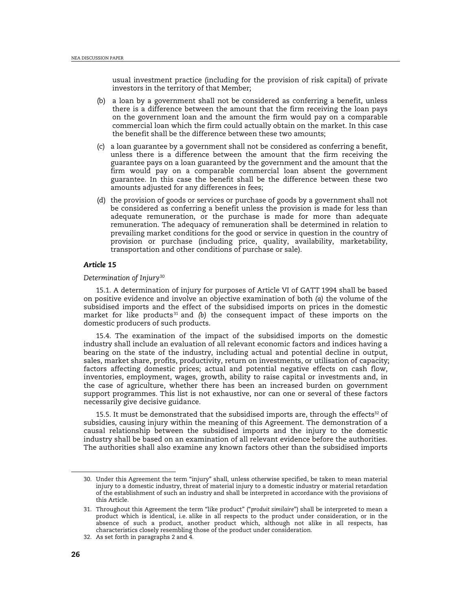usual investment practice (including for the provision of risk capital) of private investors in the territory of that Member;

- (b) a loan by a government shall not be considered as conferring a benefit, unless there is a difference between the amount that the firm receiving the loan pays on the government loan and the amount the firm would pay on a comparable commercial loan which the firm could actually obtain on the market. In this case the benefit shall be the difference between these two amounts;
- (c) a loan guarantee by a government shall not be considered as conferring a benefit, unless there is a difference between the amount that the firm receiving the guarantee pays on a loan guaranteed by the government and the amount that the firm would pay on a comparable commercial loan absent the government guarantee. In this case the benefit shall be the difference between these two amounts adjusted for any differences in fees;
- (d) the provision of goods or services or purchase of goods by a government shall not be considered as conferring a benefit unless the provision is made for less than adequate remuneration, or the purchase is made for more than adequate remuneration. The adequacy of remuneration shall be determined in relation to prevailing market conditions for the good or service in question in the country of provision or purchase (including price, quality, availability, marketability, transportation and other conditions of purchase or sale).

#### *Article 15*

#### *Determination of Injury<sup>30</sup>*

15.1. A determination of injury for purposes of Article VI of GATT 1994 shall be based on positive evidence and involve an objective examination of both *(a)* the volume of the subsidised imports and the effect of the subsidised imports on prices in the domestic market for like products<sup>31</sup> and (b) the consequent impact of these imports on the domestic producers of such products.

15.4. The examination of the impact of the subsidised imports on the domestic industry shall include an evaluation of all relevant economic factors and indices having a bearing on the state of the industry, including actual and potential decline in output, sales, market share, profits, productivity, return on investments, or utilisation of capacity; factors affecting domestic prices; actual and potential negative effects on cash flow, inventories, employment, wages, growth, ability to raise capital or investments and, in the case of agriculture, whether there has been an increased burden on government support programmes. This list is not exhaustive, nor can one or several of these factors necessarily give decisive guidance.

15.5. It must be demonstrated that the subsidised imports are, through the effects $32$  of subsidies, causing injury within the meaning of this Agreement. The demonstration of a causal relationship between the subsidised imports and the injury to the domestic industry shall be based on an examination of all relevant evidence before the authorities. The authorities shall also examine any known factors other than the subsidised imports

<sup>30.</sup> Under this Agreement the term "injury" shall, unless otherwise specified, be taken to mean material injury to a domestic industry, threat of material injury to a domestic industry or material retardation of the establishment of such an industry and shall be interpreted in accordance with the provisions of this Article.

<sup>31.</sup> Throughout this Agreement the term "like product" ("*produit similaire*") shall be interpreted to mean a product which is identical, i.e. alike in all respects to the product under consideration, or in the absence of such a product, another product which, although not alike in all respects, has characteristics closely resembling those of the product under consideration.

<sup>32.</sup> As set forth in paragraphs 2 and 4.